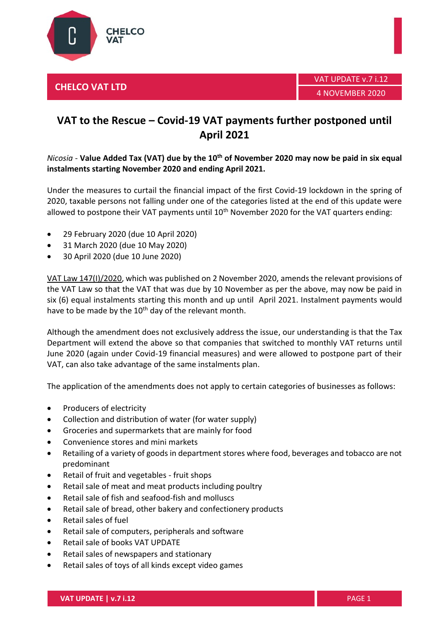





## **VAT to the Rescue – Covid-19 VAT payments further postponed until April 2021**

## *Nicosia* - **Value Added Tax (VAT) due by the 10 th of November 2020 may now be paid in six equal instalments starting November 2020 and ending April 2021.**

Under the measures to curtail the financial impact of the first Covid-19 lockdown in the spring of 2020, taxable persons not falling under one of the categories listed at the end of this update were allowed to postpone their VAT payments until  $10<sup>th</sup>$  November 2020 for the VAT quarters ending:

- 29 February 2020 (due 10 April 2020)
- 31 March 2020 (due 10 May 2020)
- 30 April 2020 (due 10 June 2020)

[VAT Law 147\(I\)/2020,](https://www.mof.gov.cy/mof/gpo/gpo.nsf/All/F1EFAD30772E343BC22586140040257B/$file/4784%202%2011%202020%20%CE%A0%CE%91%CE%A1%CE%91%CE%A1%CE%A4%CE%97%CE%9C%CE%91%201%CE%BF%20%CE%9C%CE%95%CE%A1%CE%9F%CE%A3%20%CE%99.pdf) which was published on 2 November 2020, amends the relevant provisions of the VAT Law so that the VAT that was due by 10 November as per the above, may now be paid in six (6) equal instalments starting this month and up until April 2021. Instalment payments would have to be made by the 10<sup>th</sup> day of the relevant month.

Although the amendment does not exclusively address the issue, our understanding is that the Tax Department will extend the above so that companies that switched to monthly VAT returns until June 2020 (again under Covid-19 financial measures) and were allowed to postpone part of their VAT, can also take advantage of the same instalments plan.

The application of the amendments does not apply to certain categories of businesses as follows:

- Producers of electricity
- Collection and distribution of water (for water supply)
- Groceries and supermarkets that are mainly for food
- Convenience stores and mini markets
- Retailing of a variety of goods in department stores where food, beverages and tobacco are not predominant
- Retail of fruit and vegetables fruit shops
- Retail sale of meat and meat products including poultry
- Retail sale of fish and seafood-fish and molluscs
- Retail sale of bread, other bakery and confectionery products
- Retail sales of fuel
- Retail sale of computers, peripherals and software
- Retail sale of books VAT UPDATE
- Retail sales of newspapers and stationary
- Retail sales of toys of all kinds except video games